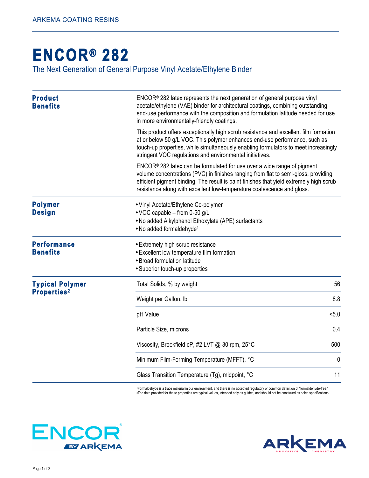## **[ENCOR® 2](http://www.arkemacoatingresins.com/en/index.html)82**

The Next Generation of General Purpose Vinyl Acetate/Ethylene Binder

| <b>Product</b><br><b>Benefits</b>            | $ENCOR® 282$ latex represents the next generation of general purpose vinyl<br>acetate/ethylene (VAE) binder for architectural coatings, combining outstanding<br>end-use performance with the composition and formulation latitude needed for use<br>in more environmentally-friendly coatings.                                      |     |
|----------------------------------------------|--------------------------------------------------------------------------------------------------------------------------------------------------------------------------------------------------------------------------------------------------------------------------------------------------------------------------------------|-----|
|                                              | This product offers exceptionally high scrub resistance and excellent film formation<br>at or below 50 g/L VOC. This polymer enhances end-use performance, such as<br>touch-up properties, while simultaneously enabling formulators to meet increasingly<br>stringent VOC regulations and environmental initiatives.                |     |
|                                              | $ENCOR® 282$ latex can be formulated for use over a wide range of pigment<br>volume concentrations (PVC) in finishes ranging from flat to semi-gloss, providing<br>efficient pigment binding. The result is paint finishes that yield extremely high scrub<br>resistance along with excellent low-temperature coalescence and gloss. |     |
| <b>Polymer</b><br><b>Design</b>              | • Vinyl Acetate/Ethylene Co-polymer<br>• VOC capable - from 0-50 g/L<br>. No added Alkylphenol Ethoxylate (APE) surfactants<br>• No added formaldehyde <sup>1</sup>                                                                                                                                                                  |     |
| <b>Performance</b><br><b>Benefits</b>        | • Extremely high scrub resistance<br>• Excellent low temperature film formation<br>• Broad formulation latitude<br>• Superior touch-up properties                                                                                                                                                                                    |     |
| <b>Typical Polymer</b><br><b>Properties2</b> | Total Solids, % by weight                                                                                                                                                                                                                                                                                                            | 56  |
|                                              | Weight per Gallon, Ib                                                                                                                                                                                                                                                                                                                | 8.8 |
|                                              | pH Value                                                                                                                                                                                                                                                                                                                             | 5.0 |
|                                              | Particle Size, microns                                                                                                                                                                                                                                                                                                               | 0.4 |
|                                              | Viscosity, Brookfield cP, #2 LVT @ 30 rpm, 25°C                                                                                                                                                                                                                                                                                      | 500 |
|                                              | Minimum Film-Forming Temperature (MFFT), °C                                                                                                                                                                                                                                                                                          | 0   |
|                                              | Glass Transition Temperature (Tg), midpoint, °C                                                                                                                                                                                                                                                                                      | 11  |

1Formaldehyde is a trace material in our environment, and there is no accepted regulatory or common definition of "formaldehyde-free." <sup>2</sup>The data provided for these properties are typical values, intended only as guides, and should not be construed as sales specifications.